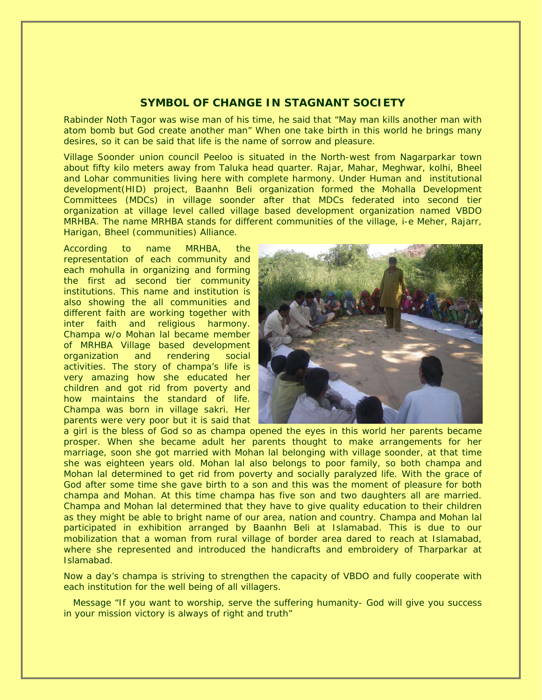# **SYMBOL OF CHANGE IN STAGNANT SOCIETY**

Rabinder Noth Tagor was wise man of his time, he said that "May man kills another man with atom bomb but God create another man" When one take birth in this world he brings many desires, so it can be said that life is the name of sorrow and pleasure.

Village Soonder union council Peeloo is situated in the North-west from Nagarparkar town about fifty kilo meters away from Taluka head quarter. Rajar, Mahar, Meghwar, kolhi, Bheel and Lohar communities living here with complete harmony. Under Human and institutional development(HID) project, Baanhn Beli organization formed the Mohalla Development Committees (MDCs) in village soonder after that MDCs federated into second tier organization at village level called village based development organization named VBDO MRHBA. The name MRHBA stands for different communities of the village, i-e Meher, Rajarr, Harigan, Bheel (communities) Alliance.

According to name MRHBA, the representation of each community and each mohulla in organizing and forming the first ad second tier community institutions. This name and institution is also showing the all communities and different faith are working together with inter faith and religious harmony. Champa w/o Mohan lal became member of MRHBA Village based development organization and rendering social activities. The story of champa's life is very amazing how she educated her children and got rid from poverty and how maintains the standard of life. Champa was born in village sakri. Her parents were very poor but it is said that



a girl is the bless of God so as champa opened the eyes in this world her parents became prosper. When she became adult her parents thought to make arrangements for her marriage, soon she got married with Mohan lal belonging with village soonder, at that time she was eighteen years old. Mohan lal also belongs to poor family, so both champa and Mohan lal determined to get rid from poverty and socially paralyzed life. With the grace of God after some time she gave birth to a son and this was the moment of pleasure for both champa and Mohan. At this time champa has five son and two daughters all are married. Champa and Mohan lal determined that they have to give quality education to their children as they might be able to bright name of our area, nation and country. Champa and Mohan lal participated in exhibition arranged by Baanhn Beli at Islamabad. This is due to our mobilization that a woman from rural village of border area dared to reach at Islamabad, where she represented and introduced the handicrafts and embroidery of Tharparkar at Islamabad.

Now a day's champa is striving to strengthen the capacity of VBDO and fully cooperate with each institution for the well being of all villagers.

 Message "If you want to worship, serve the suffering humanity- God will give you success in your mission victory is always of right and truth"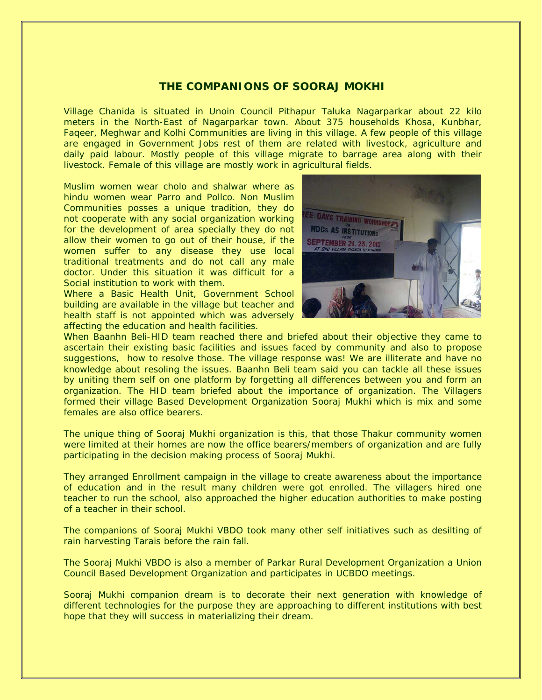## **THE COMPANIONS OF SOORAJ MOKHI**

Village Chanida is situated in Unoin Council Pithapur Taluka Nagarparkar about 22 kilo meters in the North-East of Nagarparkar town. About 375 households Khosa, Kunbhar, Faqeer, Meghwar and Kolhi Communities are living in this village. A few people of this village are engaged in Government Jobs rest of them are related with livestock, agriculture and daily paid labour. Mostly people of this village migrate to barrage area along with their livestock. Female of this village are mostly work in agricultural fields.

Muslim women wear cholo and shalwar where as hindu women wear Parro and Pollco. Non Muslim Communities posses a unique tradition, they do not cooperate with any social organization working for the development of area specially they do not allow their women to go out of their house, if the women suffer to any disease they use local traditional treatments and do not call any male doctor. Under this situation it was difficult for a Social institution to work with them.

Where a Basic Health Unit, Government School building are available in the village but teacher and health staff is not appointed which was adversely affecting the education and health facilities.



When Baanhn Beli-HID team reached there and briefed about their objective they came to ascertain their existing basic facilities and issues faced by community and also to propose suggestions, how to resolve those. The village response was! We are illiterate and have no knowledge about resoling the issues. Baanhn Beli team said you can tackle all these issues by uniting them self on one platform by forgetting all differences between you and form an organization. The HID team briefed about the importance of organization. The Villagers formed their village Based Development Organization Sooraj Mukhi which is mix and some females are also office bearers.

The unique thing of Sooraj Mukhi organization is this, that those Thakur community women were limited at their homes are now the office bearers/members of organization and are fully participating in the decision making process of Sooraj Mukhi.

They arranged Enrollment campaign in the village to create awareness about the importance of education and in the result many children were got enrolled. The villagers hired one teacher to run the school, also approached the higher education authorities to make posting of a teacher in their school.

The companions of Sooraj Mukhi VBDO took many other self initiatives such as desilting of rain harvesting Tarais before the rain fall.

The Sooraj Mukhi VBDO is also a member of Parkar Rural Development Organization a Union Council Based Development Organization and participates in UCBDO meetings.

Sooraj Mukhi companion dream is to decorate their next generation with knowledge of different technologies for the purpose they are approaching to different institutions with best hope that they will success in materializing their dream.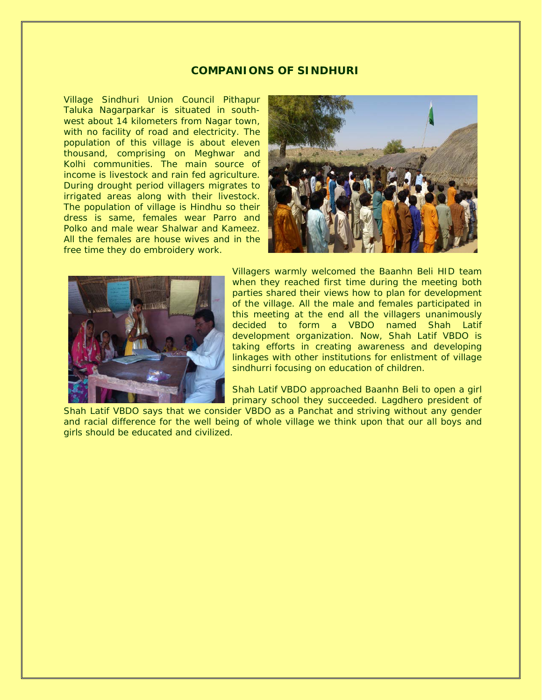#### **COMPANIONS OF SINDHURI**

Village Sindhuri Union Council Pithapur Taluka Nagarparkar is situated in southwest about 14 kilometers from Nagar town, with no facility of road and electricity. The population of this village is about eleven thousand, comprising on Meghwar and Kolhi communities. The main source of income is livestock and rain fed agriculture. During drought period villagers migrates to irrigated areas along with their livestock. The population of village is Hindhu so their dress is same, females wear Parro and Polko and male wear Shalwar and Kameez. All the females are house wives and in the free time they do embroidery work.





Villagers warmly welcomed the Baanhn Beli HID team when they reached first time during the meeting both parties shared their views how to plan for development of the village. All the male and females participated in this meeting at the end all the villagers unanimously decided to form a VBDO named Shah Latif development organization. Now, Shah Latif VBDO is taking efforts in creating awareness and developing linkages with other institutions for enlistment of village sindhurri focusing on education of children.

Shah Latif VBDO approached Baanhn Beli to open a girl primary school they succeeded. Lagdhero president of

Shah Latif VBDO says that we consider VBDO as a Panchat and striving without any gender and racial difference for the well being of whole village we think upon that our all boys and girls should be educated and civilized.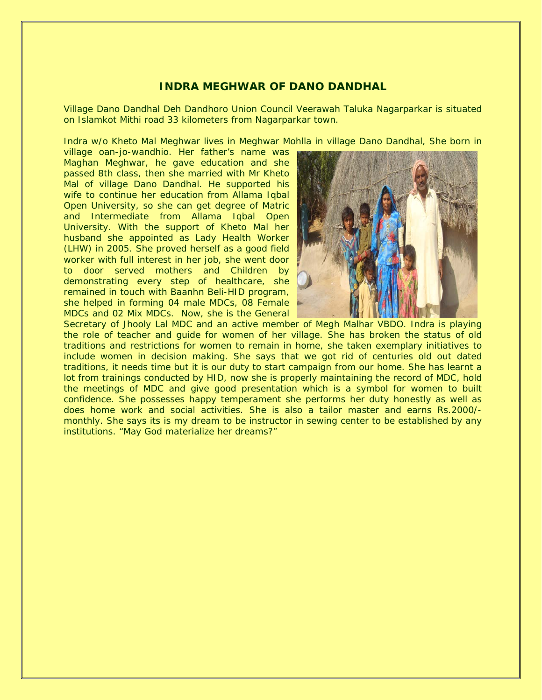## **INDRA MEGHWAR OF DANO DANDHAL**

Village Dano Dandhal Deh Dandhoro Union Council Veerawah Taluka Nagarparkar is situated on Islamkot Mithi road 33 kilometers from Nagarparkar town.

Indra w/o Kheto Mal Meghwar lives in Meghwar Mohlla in village Dano Dandhal, She born in

village oan-jo-wandhio. Her father's name was Maghan Meghwar, he gave education and she passed 8th class, then she married with Mr Kheto Mal of village Dano Dandhal. He supported his wife to continue her education from Allama Iqbal Open University, so she can get degree of Matric and Intermediate from Allama Iqbal Open University. With the support of Kheto Mal her husband she appointed as Lady Health Worker (LHW) in 2005. She proved herself as a good field worker with full interest in her job, she went door to door served mothers and Children by demonstrating every step of healthcare, she remained in touch with Baanhn Beli-HID program, she helped in forming 04 male MDCs, 08 Female MDCs and 02 Mix MDCs. Now, she is the General



Secretary of Jhooly Lal MDC and an active member of Megh Malhar VBDO. Indra is playing the role of teacher and guide for women of her village. She has broken the status of old traditions and restrictions for women to remain in home, she taken exemplary initiatives to include women in decision making. She says that we got rid of centuries old out dated traditions, it needs time but it is our duty to start campaign from our home. She has learnt a lot from trainings conducted by HID, now she is properly maintaining the record of MDC, hold the meetings of MDC and give good presentation which is a symbol for women to built confidence. She possesses happy temperament she performs her duty honestly as well as does home work and social activities. She is also a tailor master and earns Rs.2000/ monthly. She says its is my dream to be instructor in sewing center to be established by any institutions. "May God materialize her dreams?"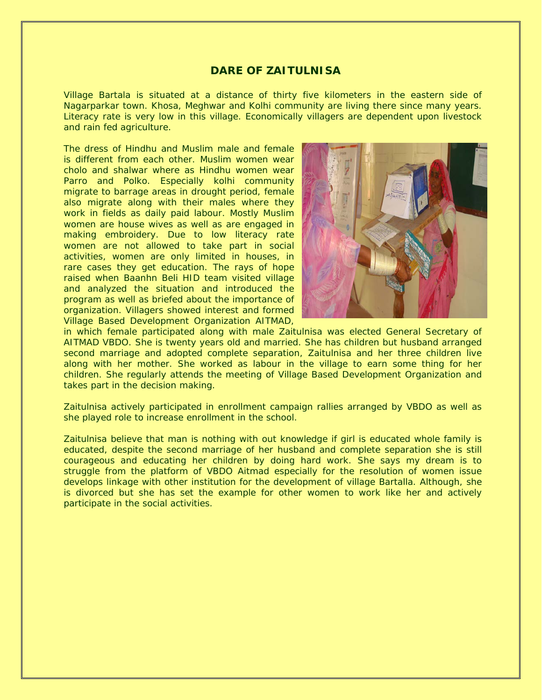#### **DARE OF ZAITULNISA**

Village Bartala is situated at a distance of thirty five kilometers in the eastern side of Nagarparkar town. Khosa, Meghwar and Kolhi community are living there since many years. Literacy rate is very low in this village. Economically villagers are dependent upon livestock and rain fed agriculture.

The dress of Hindhu and Muslim male and female is different from each other. Muslim women wear cholo and shalwar where as Hindhu women wear Parro and Polko. Especially kolhi community migrate to barrage areas in drought period, female also migrate along with their males where they work in fields as daily paid labour. Mostly Muslim women are house wives as well as are engaged in making embroidery. Due to low literacy rate women are not allowed to take part in social activities, women are only limited in houses, in rare cases they get education. The rays of hope raised when Baanhn Beli HID team visited village and analyzed the situation and introduced the program as well as briefed about the importance of organization. Villagers showed interest and formed Village Based Development Organization AITMAD,



in which female participated along with male Zaitulnisa was elected General Secretary of AITMAD VBDO. She is twenty years old and married. She has children but husband arranged second marriage and adopted complete separation, Zaitulnisa and her three children live along with her mother. She worked as labour in the village to earn some thing for her children. She regularly attends the meeting of Village Based Development Organization and takes part in the decision making.

Zaitulnisa actively participated in enrollment campaign rallies arranged by VBDO as well as she played role to increase enrollment in the school.

Zaitulnisa believe that man is nothing with out knowledge if girl is educated whole family is educated, despite the second marriage of her husband and complete separation she is still courageous and educating her children by doing hard work. She says my dream is to struggle from the platform of VBDO Aitmad especially for the resolution of women issue develops linkage with other institution for the development of village Bartalla. Although, she is divorced but she has set the example for other women to work like her and actively participate in the social activities.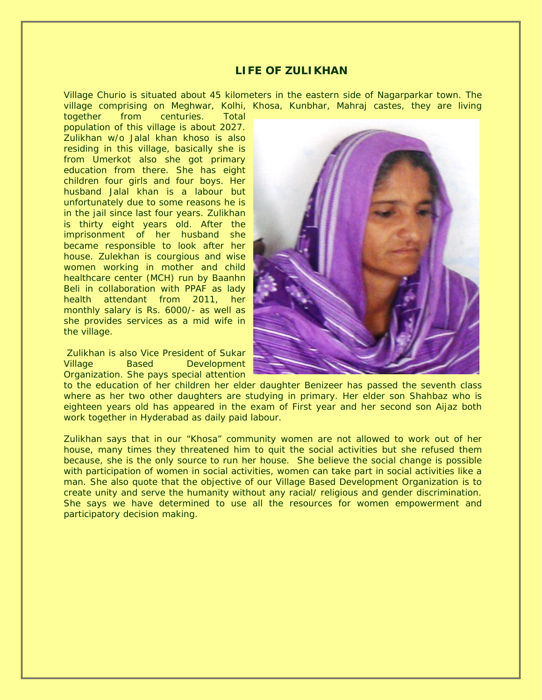### **LIFE OF ZULIKHAN**

Village Churio is situated about 45 kilometers in the eastern side of Nagarparkar town. The village comprising on Meghwar, Kolhi, Khosa, Kunbhar, Mahraj castes, they are living

together from centuries. Total population of this village is about 2027. Zulikhan w/o Jalal khan khoso is also residing in this village, basically she is from Umerkot also she got primary education from there. She has eight children four girls and four boys. Her husband Jalal khan is a labour but unfortunately due to some reasons he is in the jail since last four years. Zulikhan is thirty eight years old. After the imprisonment of her husband she became responsible to look after her house. Zulekhan is courgious and wise women working in mother and child healthcare center (MCH) run by Baanhn Beli in collaboration with PPAF as lady health attendant from 2011, her monthly salary is Rs. 6000/- as well as she provides services as a mid wife in the village.

Zulikhan is also Vice President of Sukar Village Based Development Organization. She pays special attention



to the education of her children her elder daughter Benizeer has passed the seventh class where as her two other daughters are studying in primary. Her elder son Shahbaz who is eighteen years old has appeared in the exam of First year and her second son Aijaz both work together in Hyderabad as daily paid labour.

Zulikhan says that in our "Khosa" community women are not allowed to work out of her house, many times they threatened him to quit the social activities but she refused them because, she is the only source to run her house. She believe the social change is possible with participation of women in social activities, women can take part in social activities like a man. She also quote that the objective of our Village Based Development Organization is to create unity and serve the humanity without any racial/ religious and gender discrimination. She says we have determined to use all the resources for women empowerment and participatory decision making.